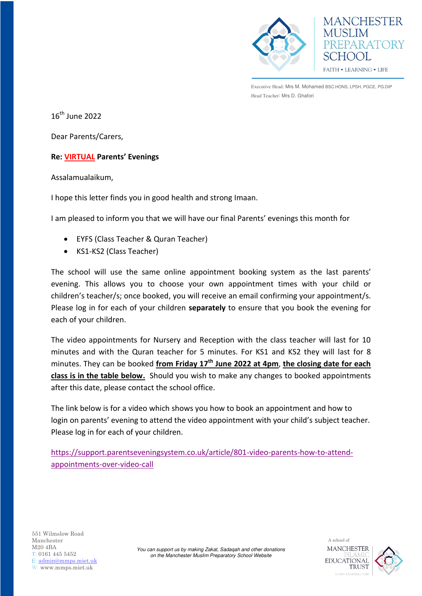



Executive Head: Mrs M. Mohamed BSC.HONS, LPSH, PGCE, PG.DIP Head Teacher: Mrs D. Ghafori

 $16<sup>th</sup>$  June 2022

Dear Parents/Carers,

## **Re: VIRTUAL Parents' Evenings**

Assalamualaikum,

I hope this letter finds you in good health and strong Imaan.

I am pleased to inform you that we will have our final Parents' evenings this month for

- EYFS (Class Teacher & Quran Teacher)
- KS1-KS2 (Class Teacher)

The school will use the same online appointment booking system as the last parents' evening. This allows you to choose your own appointment times with your child or children's teacher/s; once booked, you will receive an email confirming your appointment/s. Please log in for each of your children **separately** to ensure that you book the evening for each of your children.

The video appointments for Nursery and Reception with the class teacher will last for 10 minutes and with the Quran teacher for 5 minutes. For KS1 and KS2 they will last for 8 minutes. They can be booked **from Friday 17th June 2022 at 4pm**, **the closing date for each class is in the table below.** Should you wish to make any changes to booked appointments after this date, please contact the school office.

The link below is for a video which shows you how to book an appointment and how to login on parents' evening to attend the video appointment with your child's subject teacher. Please log in for each of your children.

[https://support.parentseveningsystem.co.uk/article/801-video-parents-how-to-attend](https://support.parentseveningsystem.co.uk/article/801-video-parents-how-to-attend-appointments-over-video-call)[appointments-over-video-call](https://support.parentseveningsystem.co.uk/article/801-video-parents-how-to-attend-appointments-over-video-call)